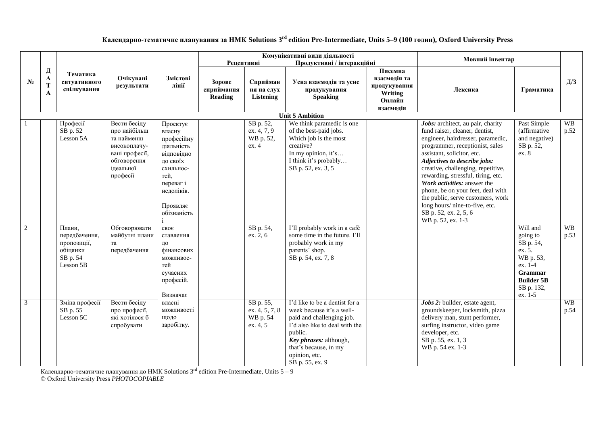| Календарно-тематичне планування за НМК Solutions 3 <sup>rd</sup> edition Pre-Intermediate, Units 5-9 (100 годин), Oxford University Press |  |  |
|-------------------------------------------------------------------------------------------------------------------------------------------|--|--|
|                                                                                                                                           |  |  |

|                |             |                                                                             |                                                                                                                      |                                                                                                                                                     | Рецептивні                             |                                                     | Комунікативні види діяльності<br>Продуктивні / інтеракційні                                                                                                                                                                  |                                                                           | Мовний інвентар                                                                                                                                                                                                                                                                                                                                                                                                                                                               |                                                                                                                                     |                   |
|----------------|-------------|-----------------------------------------------------------------------------|----------------------------------------------------------------------------------------------------------------------|-----------------------------------------------------------------------------------------------------------------------------------------------------|----------------------------------------|-----------------------------------------------------|------------------------------------------------------------------------------------------------------------------------------------------------------------------------------------------------------------------------------|---------------------------------------------------------------------------|-------------------------------------------------------------------------------------------------------------------------------------------------------------------------------------------------------------------------------------------------------------------------------------------------------------------------------------------------------------------------------------------------------------------------------------------------------------------------------|-------------------------------------------------------------------------------------------------------------------------------------|-------------------|
| $N_2$          | Д<br>A<br>A | Тематика<br>ситуативного<br>спілкування                                     | Очікувані<br>результати                                                                                              | Змістові<br>лінії                                                                                                                                   | Зорове<br>сприймання<br><b>Reading</b> | Сприйман<br>ня на слух<br>Listening                 | Усна взаємодія та усне<br>продукування<br><b>Speaking</b>                                                                                                                                                                    | Писемна<br>взаємолія та<br>продукування<br>Writing<br>Онлайн<br>взаємодія | Лексика                                                                                                                                                                                                                                                                                                                                                                                                                                                                       | Граматика                                                                                                                           | Д/3               |
|                |             |                                                                             |                                                                                                                      |                                                                                                                                                     |                                        |                                                     | <b>Unit 5 Ambition</b>                                                                                                                                                                                                       |                                                                           |                                                                                                                                                                                                                                                                                                                                                                                                                                                                               |                                                                                                                                     |                   |
|                |             | Професії<br>SB p. 52<br>Lesson 5A                                           | Вести бесіду<br>про найбільш<br>та найменш<br>високоплачу-<br>вані професії,<br>обговорення<br>ідеальної<br>професії | Проектує<br>власну<br>професійну<br>діяльність<br>відповідно<br>до своїх<br>схильнос-<br>тей,<br>переваг і<br>недоліків.<br>Проявляє<br>обізнаність |                                        | SB p. 52,<br>ex. 4, 7, 9<br>WB p. 52,<br>ex. 4      | We think paramedic is one<br>of the best-paid jobs.<br>Which job is the most<br>creative?<br>In my opinion, it's<br>I think it's probably<br>SB p. 52, ex. 3, 5                                                              |                                                                           | Jobs: architect, au pair, charity<br>fund raiser, cleaner, dentist,<br>engineer, hairdresser, paramedic,<br>programmer, receptionist, sales<br>assistant, solicitor, etc.<br>Adjectives to describe jobs:<br>creative, challenging, repetitive,<br>rewarding, stressful, tiring, etc.<br>Work activities: answer the<br>phone, be on your feet, deal with<br>the public, serve customers, work<br>long hours/nine-to-five, etc.<br>SB p. 52, ex. 2, 5, 6<br>WB p. 52, ex. 1-3 | Past Simple<br>(affirmative<br>and negative)<br>SB p. 52,<br>ex. 8                                                                  | <b>WB</b><br>p.52 |
| $\overline{2}$ |             | Плани,<br>передбачення,<br>пропозиції,<br>обіцянки<br>SB p. 54<br>Lesson 5B | Обговорювати<br>майбутні плани<br>та<br>передбачення                                                                 | своє<br>ставлення<br>до<br>фінансових<br>можливос-<br>тей<br>сучасних<br>професій.<br>Визначає                                                      |                                        | SB p. 54,<br>ex. 2, 6                               | I'll probably work in a café<br>some time in the future. I'll<br>probably work in my<br>parents' shop.<br>SB p. 54, ex. 7, 8                                                                                                 |                                                                           |                                                                                                                                                                                                                                                                                                                                                                                                                                                                               | Will and<br>going to<br>SB p. 54,<br>ex. 5.<br>WB p. 53,<br>ex. 1-4<br><b>Grammar</b><br><b>Builder 5B</b><br>SB p. 132,<br>ex. 1-5 | <b>WB</b><br>p.53 |
| 3              |             | Зміна професії<br>SB p. 55<br>Lesson 5C                                     | Вести бесіду<br>про професії,<br>які хотілося б<br>спробувати                                                        | власні<br>можливості<br>щодо<br>заробітку.                                                                                                          |                                        | SB p. 55,<br>ex. 4, 5, 7, 8<br>WB p. 54<br>ex. 4, 5 | I'd like to be a dentist for a<br>week because it's a well-<br>paid and challenging job.<br>I'd also like to deal with the<br>public.<br>Key phrases: although,<br>that's because, in my<br>opinion, etc.<br>SB p. 55, ex. 9 |                                                                           | Jobs 2: builder, estate agent,<br>groundskeeper, locksmith, pizza<br>delivery man, stunt performer,<br>surfing instructor, video game<br>developer, etc.<br>SB p. 55, ex. 1, 3<br>WB p. 54 ex. 1-3                                                                                                                                                                                                                                                                            |                                                                                                                                     | <b>WB</b><br>p.54 |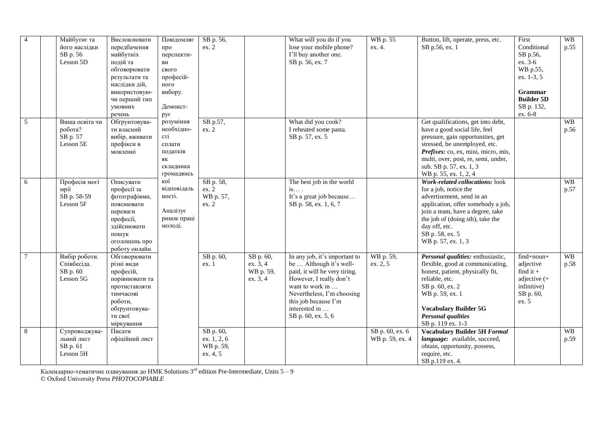| $\overline{4}$ | Майбутнє та<br>його наслідки<br>SB p. 56<br>Lesson 5D | Висловлювати<br>передбачення<br>майбутніх<br>подій та<br>обговорювати<br>результати та<br>наслідки дій,<br>використовую-<br>чи перший тип<br>умовних<br>речень | Повідомляє<br>про<br>перспекти-<br>ВИ<br>свого<br>професій-<br>ного<br>вибору.<br>Демонст-<br>рує | SB p. 56,<br>ex. 2                                |                                                | What will you do if you<br>lose your mobile phone?<br>I'll buy another one.<br>SB p. 56, ex. 7                                                                                                                                       | WB p. 55<br>ex. 4.                 | Button, lift, operate, press, etc.<br>SB p.56, ex. 1                                                                                                                                                                                                                        | First<br>Conditional<br>SB p.56,<br>ex. 3-6<br>WB p.55,<br>ex. 1-3, 5<br><b>Grammar</b><br><b>Builder 5D</b><br>SB p. 132,<br>ex. 6-8 | <b>WB</b><br>p.55 |
|----------------|-------------------------------------------------------|----------------------------------------------------------------------------------------------------------------------------------------------------------------|---------------------------------------------------------------------------------------------------|---------------------------------------------------|------------------------------------------------|--------------------------------------------------------------------------------------------------------------------------------------------------------------------------------------------------------------------------------------|------------------------------------|-----------------------------------------------------------------------------------------------------------------------------------------------------------------------------------------------------------------------------------------------------------------------------|---------------------------------------------------------------------------------------------------------------------------------------|-------------------|
| 5              | Вища освіта чи<br>робота?<br>SB p. 57<br>Lesson 5E    | Обгрунтовува-<br>ти власний<br>вибір, вживати<br>префікси в<br>мовленні                                                                                        | розуміння<br>необхідно-<br>cri<br>сплати<br>податків<br>ЯК<br>складника<br>громадянсь             | SB p.57,<br>ex. 2                                 |                                                | What did you cook?<br>I reheated some pasta.<br>SB p. 57, ex. 5                                                                                                                                                                      |                                    | Get qualifications, get into debt,<br>have a good social life, feel<br>pressure, gain opportunities, get<br>stressed, be unemployed, etc.<br>Prefixes: co, ex, mini, micro, mis,<br>multi, over, post, re, semi, under,<br>sub. SB p. 57, ex. 1, 3<br>WB p. 55, ex. 1, 2, 4 |                                                                                                                                       | <b>WB</b><br>p.56 |
| 6              | Професія моєї<br>мрії<br>SB p. 58-59<br>Lesson 5F     | Описувати<br>професії за<br>фотографіями,<br>пояснювати<br>переваги<br>професії,<br>здійснювати<br>пошук<br>оголошень про<br>роботу онлайн                     | кої<br>відповідаль<br>ності.<br>Аналізує<br>ринок праці<br>молоді.                                | SB p. 58,<br>ex. 2<br>WB p. 57,<br>ex. 2          |                                                | The best job in the world<br>$is$ .<br>It's a great job because<br>SB p. 58, ex. 1, 6, 7                                                                                                                                             |                                    | Work-related collocations: look<br>for a job, notice the<br>advertisement, send in an<br>application, offer somebody a job,<br>join a team, have a degree, take<br>the job of (doing sth), take the<br>day off, etc.<br>SB p. 58, ex. 5<br>WB p. 57, ex. 1, 3               |                                                                                                                                       | <b>WB</b><br>p.57 |
| $\tau$         | Вибір роботи.<br>Співбесіда.<br>SB p. 60<br>Lesson 5G | Обговорювати<br>різні види<br>професій,<br>порівнювати та<br>протиставляти<br>тимчасові<br>роботи,<br>обгрунтовува-<br>ти свої<br>міркування                   |                                                                                                   | SB p. 60,<br>ex. 1                                | SB p. 60,<br>ex. 3, 4<br>WB p. 59,<br>ex. 3, 4 | In any job, it's important to<br>be  Although it's well-<br>paid, it will be very tiring.<br>However, I really don't<br>want to work in<br>Nevertheless, I'm choosing<br>this job because I'm<br>interested in<br>SB p. 60, ex. 5, 6 | WB p. 59,<br>ex. 2, 5              | Personal qualities: enthusiastic,<br>flexible, good at communicating,<br>honest, patient, physically fit,<br>reliable, etc.<br>SB p. 60, ex. 2<br>WB p. 59, ex. 1<br><b>Vocabulary Builder 5G</b><br><b>Personal qualities</b><br>SB p. 119 ex. 1-3                         | find+noun+<br>adjective<br>find it $+$<br>adjective $(+$<br>infinitive)<br>SB p. 60,<br>ex. 5                                         | <b>WB</b><br>p.58 |
| 8              | Супроводжува-<br>льний лист<br>SB p. 61<br>Lesson 5H  | Писати<br>офіційний лист                                                                                                                                       |                                                                                                   | SB p. 60,<br>ex. 1, 2, 6<br>WB p. 59,<br>ex. 4, 5 |                                                |                                                                                                                                                                                                                                      | SB p. 60, ex. 6<br>WB p. 59, ex. 4 | <b>Vocabulary Builder 5H Formal</b><br>language: available, succeed,<br>obtain, opportunity, possess,<br>require, etc.<br>SB p.119 ex. 4.                                                                                                                                   |                                                                                                                                       | <b>WB</b><br>p.59 |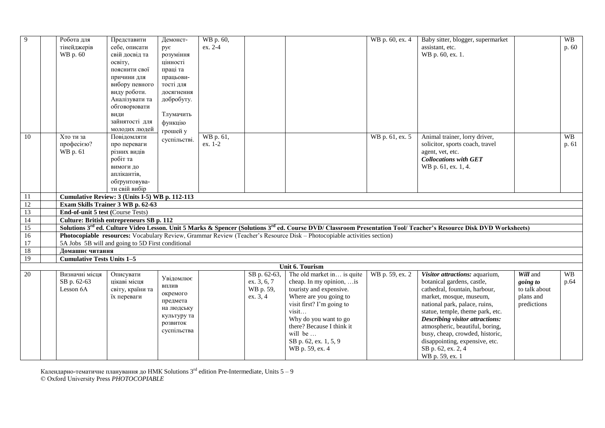| 9               | Робота для                        | Представити                                       | Демонст-                                            | WB p. 60, |              |                                                                                                                         | WB p. 60, ex. 4 | Baby sitter, blogger, supermarket                                                                                                                                                          |               | <b>WB</b> |
|-----------------|-----------------------------------|---------------------------------------------------|-----------------------------------------------------|-----------|--------------|-------------------------------------------------------------------------------------------------------------------------|-----------------|--------------------------------------------------------------------------------------------------------------------------------------------------------------------------------------------|---------------|-----------|
|                 | тінейджерів                       | себе, описати                                     | рує                                                 | ex. 2-4   |              |                                                                                                                         |                 | assistant, etc.                                                                                                                                                                            |               | p. 60     |
|                 | WB p. 60                          | свій досвід та                                    | розуміння                                           |           |              |                                                                                                                         |                 | WB p. 60, ex. 1.                                                                                                                                                                           |               |           |
|                 |                                   | освіту,                                           | цінності                                            |           |              |                                                                                                                         |                 |                                                                                                                                                                                            |               |           |
|                 |                                   | пояснити свої                                     | праці та                                            |           |              |                                                                                                                         |                 |                                                                                                                                                                                            |               |           |
|                 |                                   | причини для                                       | працьови-                                           |           |              |                                                                                                                         |                 |                                                                                                                                                                                            |               |           |
|                 |                                   | вибору певного                                    | тості для                                           |           |              |                                                                                                                         |                 |                                                                                                                                                                                            |               |           |
|                 |                                   | виду роботи.                                      | досягнення                                          |           |              |                                                                                                                         |                 |                                                                                                                                                                                            |               |           |
|                 |                                   | Аналізувати та                                    | добробуту.                                          |           |              |                                                                                                                         |                 |                                                                                                                                                                                            |               |           |
|                 |                                   | обговорювати                                      |                                                     |           |              |                                                                                                                         |                 |                                                                                                                                                                                            |               |           |
|                 |                                   | види                                              | Тлумачить                                           |           |              |                                                                                                                         |                 |                                                                                                                                                                                            |               |           |
|                 |                                   | зайнятості для                                    | функцію                                             |           |              |                                                                                                                         |                 |                                                                                                                                                                                            |               |           |
|                 |                                   | молодих людей                                     | грошей у                                            |           |              |                                                                                                                         |                 |                                                                                                                                                                                            |               |           |
| 10              | Хто ти за                         | Повідомляти                                       | суспільстві.                                        | WB p. 61, |              |                                                                                                                         | WB p. 61, ex. 5 | Animal trainer, lorry driver,                                                                                                                                                              |               | <b>WB</b> |
|                 | професією?                        | про переваги                                      |                                                     | ex. 1-2   |              |                                                                                                                         |                 | solicitor, sports coach, travel                                                                                                                                                            |               | p. 61     |
|                 | WB p. 61                          | різних видів                                      |                                                     |           |              |                                                                                                                         |                 | agent, vet, etc.                                                                                                                                                                           |               |           |
|                 |                                   | робіт та                                          |                                                     |           |              |                                                                                                                         |                 | <b>Collocations with GET</b>                                                                                                                                                               |               |           |
|                 |                                   | вимоги до                                         |                                                     |           |              |                                                                                                                         |                 | WB p. 61, ex. 1, 4.                                                                                                                                                                        |               |           |
|                 |                                   | аплікантів,                                       |                                                     |           |              |                                                                                                                         |                 |                                                                                                                                                                                            |               |           |
|                 |                                   | обгрунтовува-                                     |                                                     |           |              |                                                                                                                         |                 |                                                                                                                                                                                            |               |           |
|                 |                                   | ти свій вибір                                     |                                                     |           |              |                                                                                                                         |                 |                                                                                                                                                                                            |               |           |
| $\overline{11}$ |                                   | Cumulative Review: 3 (Units I-5) WB p. 112-113    |                                                     |           |              |                                                                                                                         |                 |                                                                                                                                                                                            |               |           |
| 12              |                                   | Exam Skills Trainer 3 WB p. 62-63                 |                                                     |           |              |                                                                                                                         |                 |                                                                                                                                                                                            |               |           |
| 13              |                                   | End-of-unit 5 test (Course Tests)                 |                                                     |           |              |                                                                                                                         |                 |                                                                                                                                                                                            |               |           |
| 14              |                                   | Culture: British entrepreneurs SB p. 112          |                                                     |           |              |                                                                                                                         |                 |                                                                                                                                                                                            |               |           |
| 15              |                                   |                                                   |                                                     |           |              |                                                                                                                         |                 | Solutions 3 <sup>rd</sup> ed. Culture Video Lesson. Unit 5 Marks & Spencer (Solutions 3 <sup>rd</sup> ed. Course DVD/ Classroom Presentation Tool/ Teacher's Resource Disk DVD Worksheets) |               |           |
| $\overline{16}$ |                                   |                                                   |                                                     |           |              | Photocopiable resources: Vocabulary Review, Grammar Review (Teacher's Resource Disk - Photocopiable activities section) |                 |                                                                                                                                                                                            |               |           |
| $17\,$          |                                   | 5A Jobs 5B will and going to 5D First conditional |                                                     |           |              |                                                                                                                         |                 |                                                                                                                                                                                            |               |           |
| 18              | Домашнє читання                   |                                                   |                                                     |           |              |                                                                                                                         |                 |                                                                                                                                                                                            |               |           |
| 19              | <b>Cumulative Tests Units 1-5</b> |                                                   |                                                     |           |              |                                                                                                                         |                 |                                                                                                                                                                                            |               |           |
|                 |                                   |                                                   |                                                     |           |              | Unit 6. Tourism                                                                                                         |                 |                                                                                                                                                                                            |               |           |
| 20              | Визначні місця                    | Описувати                                         | $y_{\rm{Bi}\mu\rm{OM} \rm{I} \rm{I} \rm{O} \rm{C}}$ |           | SB p. 62-63, | The old market in is quite                                                                                              | WB p. 59, ex. 2 | Visitor attractions: aquarium,                                                                                                                                                             | Will and      | <b>WB</b> |
|                 | SB p. 62-63                       | цікаві місця                                      | ВПЛИВ                                               |           | ex. 3, 6, 7  | cheap. In my opinion,  is                                                                                               |                 | botanical gardens, castle,                                                                                                                                                                 | going to      | p.64      |
|                 | Lesson 6A                         | світу, країни та                                  | окремого                                            |           | WB p. 59,    | touristy and expensive.                                                                                                 |                 | cathedral, fountain, harbour,                                                                                                                                                              | to talk about |           |
|                 |                                   | їх переваги                                       | предмета                                            |           | ex. 3, 4     | Where are you going to                                                                                                  |                 | market, mosque, museum,                                                                                                                                                                    | plans and     |           |
|                 |                                   |                                                   | на людську                                          |           |              | visit first? I'm going to                                                                                               |                 | national park, palace, ruins,                                                                                                                                                              | predictions   |           |
|                 |                                   |                                                   | культуру та                                         |           |              | visit                                                                                                                   |                 | statue, temple, theme park, etc.                                                                                                                                                           |               |           |
|                 |                                   |                                                   | розвиток                                            |           |              | Why do you want to go                                                                                                   |                 | <b>Describing visitor attractions:</b>                                                                                                                                                     |               |           |
|                 |                                   |                                                   | суспільства                                         |           |              | there? Because I think it<br>will be                                                                                    |                 | atmospheric, beautiful, boring,                                                                                                                                                            |               |           |
|                 |                                   |                                                   |                                                     |           |              |                                                                                                                         |                 | busy, cheap, crowded, historic,                                                                                                                                                            |               |           |
|                 |                                   |                                                   |                                                     |           |              | SB p. 62, ex. 1, 5, 9                                                                                                   |                 | disappointing, expensive, etc.                                                                                                                                                             |               |           |
|                 |                                   |                                                   |                                                     |           |              | WB p. 59, ex. 4                                                                                                         |                 | SB p. 62, ex. 2, 4                                                                                                                                                                         |               |           |
|                 |                                   |                                                   |                                                     |           |              |                                                                                                                         |                 | WB p. 59, ex. 1                                                                                                                                                                            |               |           |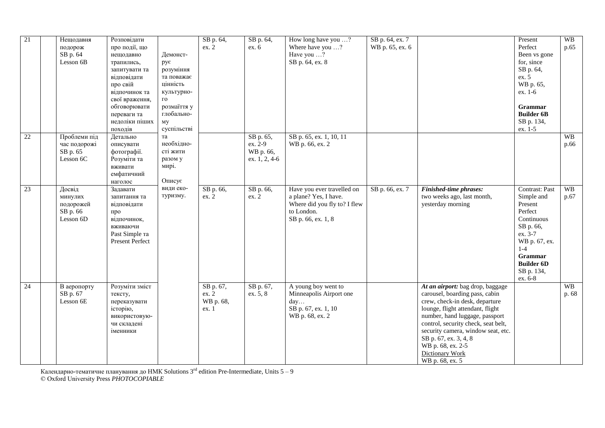| 21              | Нещодавня<br>подорож<br>SB p. 64<br>Lesson 6B           | Розповідати<br>про події, що<br>нещодавно<br>трапились,<br>запитувати та<br>відповідати<br>про свій<br>відпочинок та<br>свої враження,<br>обговорювати<br>переваги та<br>недоліки піших<br>походів | Демонст-<br>рує<br>розуміння<br>та поважає<br>цінність<br>культурно-<br>$\Gamma O$<br>розмаїття у<br>глобально-<br>мy<br>суспільстві | SB p. 64,<br>ex. 2                      | SB p. 64,<br>ex. 6                                 | How long have you ?<br>Where have you ?<br>Have you ?<br>SB p. 64, ex. 8                                                | SB p. 64, ex. 7<br>WB p. 65, ex. 6 |                                                                                                                                                                                                                                                                                                                                             | Present<br>Perfect<br>Been vs gone<br>for, since<br>SB p. 64,<br>ex. 5<br>WB p. 65,<br>ex. 1-6<br><b>Grammar</b><br><b>Builder 6B</b><br>SB p. 134,<br>ex. 1-5                | <b>WB</b><br>p.65  |
|-----------------|---------------------------------------------------------|----------------------------------------------------------------------------------------------------------------------------------------------------------------------------------------------------|--------------------------------------------------------------------------------------------------------------------------------------|-----------------------------------------|----------------------------------------------------|-------------------------------------------------------------------------------------------------------------------------|------------------------------------|---------------------------------------------------------------------------------------------------------------------------------------------------------------------------------------------------------------------------------------------------------------------------------------------------------------------------------------------|-------------------------------------------------------------------------------------------------------------------------------------------------------------------------------|--------------------|
| $\overline{22}$ | Проблеми під<br>час подорожі<br>SB p. 65<br>Lesson 6C   | Детально<br>описувати<br>фотографії.<br>Розуміти та<br>вживати<br>емфатичний<br>наголос                                                                                                            | та<br>необхідно-<br>сті жити<br>разом у<br>мирі.<br>Описує                                                                           |                                         | SB p. 65,<br>ex. 2-9<br>WB p. 66,<br>ex. 1, 2, 4-6 | SB p. 65, ex. 1, 10, 11<br>WB p. 66, ex. 2                                                                              |                                    |                                                                                                                                                                                                                                                                                                                                             |                                                                                                                                                                               | <b>WB</b><br>p.66  |
| 23              | Досвід<br>минулих<br>подорожей<br>SB p. 66<br>Lesson 6D | Задавати<br>запитання та<br>відповідати<br>про<br>відпочинок,<br>вживаючи<br>Past Simple Ta<br>Present Perfect                                                                                     | види еко-<br>туризму.                                                                                                                | SB p. 66,<br>ex. 2                      | SB p. 66,<br>ex. 2                                 | Have you ever travelled on<br>a plane? Yes, I have.<br>Where did you fly to? I flew<br>to London.<br>SB p. 66, ex. 1, 8 | SB p. 66, ex. 7                    | <b>Finished-time phrases:</b><br>two weeks ago, last month,<br>yesterday morning                                                                                                                                                                                                                                                            | Contrast: Past<br>Simple and<br>Present<br>Perfect<br>Continuous<br>SB p. 66,<br>ex. 3-7<br>WB p. 67, ex.<br>$1 - 4$<br>Grammar<br><b>Builder 6D</b><br>SB p. 134,<br>ex. 6-8 | <b>WB</b><br>p.67  |
| $\overline{24}$ | В аеропорту<br>SB p. 67<br>Lesson 6E                    | Розуміти зміст<br>тексту,<br>переказувати<br>історію,<br>використовую-<br>чи складені<br>іменники                                                                                                  |                                                                                                                                      | SB p. 67,<br>ex. 2<br>WB p. 68,<br>ex.1 | SB p. 67,<br>ex. 5, 8                              | A young boy went to<br>Minneapolis Airport one<br>day<br>SB p. 67, ex. 1, 10<br>WB p. 68, ex. 2                         |                                    | At an airport: bag drop, baggage<br>carousel, boarding pass, cabin<br>crew, check-in desk, departure<br>lounge, flight attendant, flight<br>number, hand luggage, passport<br>control, security check, seat belt,<br>security camera, window seat, etc.<br>SB p. 67, ex. 3, 4, 8<br>WB p. 68, ex. 2-5<br>Dictionary Work<br>WB p. 68, ex. 5 |                                                                                                                                                                               | <b>WB</b><br>p. 68 |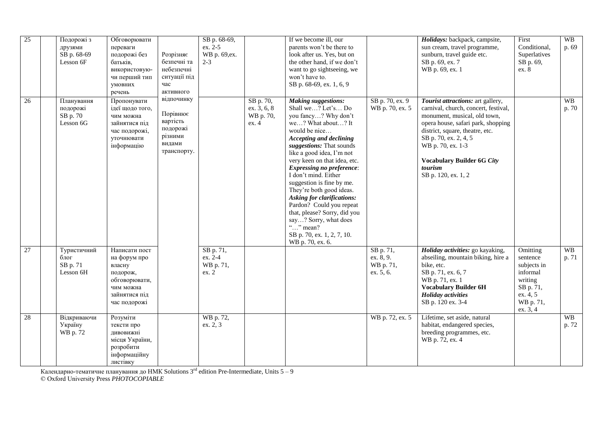| $\overline{25}$ | Подорожі з<br>друзями<br>SB p. 68-69<br>Lesson 6F | Обговорювати<br>переваги<br>подорожі без<br>батьків,<br>використовую-<br>чи перший тип<br>умовних<br>речень        | Розрізняє<br>безпечні та<br>небезпечні<br>ситуації під<br>час<br>активного         | SB p. 68-69,<br>ex. 2-5<br>WB p. 69, ex.<br>$2 - 3$ |                                                | If we become ill, our<br>parents won't be there to<br>look after us. Yes, but on<br>the other hand, if we don't<br>want to go sightseeing, we<br>won't have to.<br>SB p. 68-69, ex. 1, 6, 9                                                                                                                                                                                                                                                                                                                                                                       |                                                  | Holidays: backpack, campsite,<br>sun cream, travel programme,<br>sunburn, travel guide etc.<br>SB p. 69, ex. 7<br>WB p. 69, ex. 1                                                                                                                                                                       | First<br>Conditional,<br>Superlatives<br>SB p. 69,<br>ex. 8                                                  | <b>WB</b><br>p. 69 |
|-----------------|---------------------------------------------------|--------------------------------------------------------------------------------------------------------------------|------------------------------------------------------------------------------------|-----------------------------------------------------|------------------------------------------------|-------------------------------------------------------------------------------------------------------------------------------------------------------------------------------------------------------------------------------------------------------------------------------------------------------------------------------------------------------------------------------------------------------------------------------------------------------------------------------------------------------------------------------------------------------------------|--------------------------------------------------|---------------------------------------------------------------------------------------------------------------------------------------------------------------------------------------------------------------------------------------------------------------------------------------------------------|--------------------------------------------------------------------------------------------------------------|--------------------|
| 26              | Планування<br>подорожі<br>SB p. 70<br>Lesson 6G   | Пропонувати<br>ідеї щодо того,<br>чим можна<br>зайнятися під<br>час подорожі,<br>уточнювати<br>інформацію          | відпочинку<br>Порівнює<br>вартість<br>подорожі<br>різними<br>видами<br>транспорту. |                                                     | SB p. 70,<br>ex. 3, 6, 8<br>WB p. 70,<br>ex. 4 | <b>Making suggestions:</b><br>Shall we? Let's Do<br>you fancy? Why don't<br>we? What about? It<br>would be nice<br><b>Accepting and declining</b><br>suggestions: That sounds<br>like a good idea, I'm not<br>very keen on that idea, etc.<br><b>Expressing no preference:</b><br>I don't mind. Either<br>suggestion is fine by me.<br>They're both good ideas.<br><b>Asking for clarifications:</b><br>Pardon? Could you repeat<br>that, please? Sorry, did you<br>say? Sorry, what does<br>" $\ldots$ " mean?<br>SB p. 70, ex. 1, 2, 7, 10.<br>WB p. 70, ex. 6. | SB p. 70, ex. 9<br>WB p. 70, ex. 5               | Tourist attractions: art gallery,<br>carnival, church, concert, festival,<br>monument, musical, old town,<br>opera house, safari park, shopping<br>district, square, theatre, etc.<br>SB p. 70, ex. 2, 4, 5<br>WB p. 70, ex. 1-3<br><b>Vocabulary Builder 6G City</b><br>tourism<br>SB p. 120, ex. 1, 2 |                                                                                                              | <b>WB</b><br>p. 70 |
| 27              | Туристичний<br>блог<br>SB p. 71<br>Lesson 6H      | Написати пост<br>на форум про<br>власну<br>подорож,<br>обговорювати,<br>чим можна<br>зайнятися під<br>час подорожі |                                                                                    | SB p. 71,<br>ex. 2-4<br>WB p. 71,<br>ex. 2          |                                                |                                                                                                                                                                                                                                                                                                                                                                                                                                                                                                                                                                   | SB p. 71,<br>ex. 8, 9.<br>WB p. 71,<br>ex. 5, 6. | Holiday activities: go kayaking,<br>abseiling, mountain biking, hire a<br>bike, etc.<br>SB p. 71, ex. 6, 7<br>WB p. 71, ex. 1<br><b>Vocabulary Builder 6H</b><br><b>Holiday</b> activities<br>SB p. 120 ex. 3-4                                                                                         | Omitting<br>sentence<br>subjects in<br>informal<br>writing<br>SB p. 71,<br>ex. 4, 5<br>WB p. 71,<br>ex. 3, 4 | <b>WB</b><br>p. 71 |
| 28              | Відкриваючи<br>Україну<br>WB p. 72                | Розуміти<br>тексти про<br>дивовижні<br>місця України,<br>розробити<br>інформаційну<br>листівку                     |                                                                                    | WB p. 72,<br>ex. 2, 3                               |                                                |                                                                                                                                                                                                                                                                                                                                                                                                                                                                                                                                                                   | WB p. 72, ex. 5                                  | Lifetime, set aside, natural<br>habitat, endangered species,<br>breeding programmes, etc.<br>WB p. 72, ex. 4                                                                                                                                                                                            |                                                                                                              | <b>WB</b><br>p. 72 |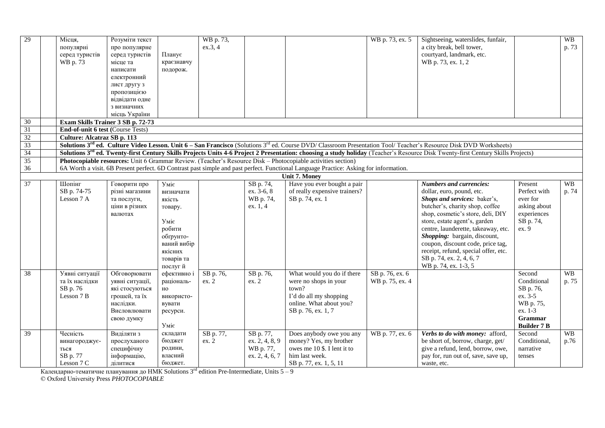| 29              | Місця,                            | Розуміти текст                    |                                        | WB p. 73, |                  |                                                                                                                                                               | WB p. 73, ex. 5 | Sightseeing, waterslides, funfair,                                                                                                                                                           |                    | <b>WB</b> |
|-----------------|-----------------------------------|-----------------------------------|----------------------------------------|-----------|------------------|---------------------------------------------------------------------------------------------------------------------------------------------------------------|-----------------|----------------------------------------------------------------------------------------------------------------------------------------------------------------------------------------------|--------------------|-----------|
|                 | популярні                         | про популярне                     |                                        | ex.3, 4   |                  |                                                                                                                                                               |                 | a city break, bell tower,                                                                                                                                                                    |                    | p. 73     |
|                 | серед туристів                    | серед туристів                    | Планує                                 |           |                  |                                                                                                                                                               |                 | courtyard, landmark, etc.                                                                                                                                                                    |                    |           |
|                 | WB p. 73                          | місце та                          | краєзнавчу                             |           |                  |                                                                                                                                                               |                 | WB p. 73, ex. 1, 2                                                                                                                                                                           |                    |           |
|                 |                                   | написати                          | подорож.                               |           |                  |                                                                                                                                                               |                 |                                                                                                                                                                                              |                    |           |
|                 |                                   | електронний                       |                                        |           |                  |                                                                                                                                                               |                 |                                                                                                                                                                                              |                    |           |
|                 |                                   | лист другу з                      |                                        |           |                  |                                                                                                                                                               |                 |                                                                                                                                                                                              |                    |           |
|                 |                                   | пропозицією                       |                                        |           |                  |                                                                                                                                                               |                 |                                                                                                                                                                                              |                    |           |
|                 |                                   | відвідати одне                    |                                        |           |                  |                                                                                                                                                               |                 |                                                                                                                                                                                              |                    |           |
|                 |                                   | з визначних                       |                                        |           |                  |                                                                                                                                                               |                 |                                                                                                                                                                                              |                    |           |
|                 |                                   | місць України                     |                                        |           |                  |                                                                                                                                                               |                 |                                                                                                                                                                                              |                    |           |
| $\overline{30}$ |                                   | Exam Skills Trainer 3 SB p. 72-73 |                                        |           |                  |                                                                                                                                                               |                 |                                                                                                                                                                                              |                    |           |
| 31              | End-of-unit 6 test (Course Tests) |                                   |                                        |           |                  |                                                                                                                                                               |                 |                                                                                                                                                                                              |                    |           |
| 32              | Culture: Alcatraz SB p. 113       |                                   |                                        |           |                  |                                                                                                                                                               |                 |                                                                                                                                                                                              |                    |           |
| 33              |                                   |                                   |                                        |           |                  |                                                                                                                                                               |                 | Solutions 3rd ed. Culture Video Lesson. Unit 6 - San Francisco (Solutions 3rd ed. Course DVD/Classroom Presentation Tool/Teacher's Resource Disk DVD Worksheets)                             |                    |           |
| 34              |                                   |                                   |                                        |           |                  |                                                                                                                                                               |                 | Solutions 3 <sup>rd</sup> ed. Twenty-first Century Skills Projects Units 4-6 Project 2 Presentation: choosing a study holiday (Teacher's Resource Disk Twenty-first Century Skills Projects) |                    |           |
| 35              |                                   |                                   |                                        |           |                  | Photocopiable resources: Unit 6 Grammar Review. (Teacher's Resource Disk - Photocopiable activities section)                                                  |                 |                                                                                                                                                                                              |                    |           |
| 36              |                                   |                                   |                                        |           |                  | 6A Worth a visit. 6B Present perfect. 6D Contrast past simple and past perfect. Functional Language Practice: Asking for information.<br><b>Unit 7. Money</b> |                 |                                                                                                                                                                                              |                    |           |
| 37              | Шопінг                            | Говорити про                      | $Y$ <sub>Mi</sub> $\epsilon$           |           | SB p. 74,        | Have you ever bought a pair                                                                                                                                   |                 | <b>Numbers and currencies:</b>                                                                                                                                                               | Present            | <b>WB</b> |
|                 | SB p. 74-75                       | різні магазини                    |                                        |           | ex. 3-6, 8       | of really expensive trainers?                                                                                                                                 |                 | dollar, euro, pound, etc.                                                                                                                                                                    | Perfect with       | p. 74     |
|                 | Lesson 7 A                        | та послуги,                       | визначати<br>якість                    |           | WB p. 74,        | SB p. 74, ex. 1                                                                                                                                               |                 | Shops and services: baker's,                                                                                                                                                                 | ever for           |           |
|                 |                                   | ціни в різних                     |                                        |           | ex. 1, 4         |                                                                                                                                                               |                 | butcher's, charity shop, coffee                                                                                                                                                              | asking about       |           |
|                 |                                   | валютах                           | товару.                                |           |                  |                                                                                                                                                               |                 | shop, cosmetic's store, deli, DIY                                                                                                                                                            | experiences        |           |
|                 |                                   |                                   | $V$ <sub>Mi<math>\epsilon</math></sub> |           |                  |                                                                                                                                                               |                 | store, estate agent's, garden                                                                                                                                                                | SB p. 74,          |           |
|                 |                                   |                                   | робити                                 |           |                  |                                                                                                                                                               |                 | centre, launderette, takeaway, etc.                                                                                                                                                          | ex. 9              |           |
|                 |                                   |                                   | обґрунто-                              |           |                  |                                                                                                                                                               |                 | Shopping: bargain, discount,                                                                                                                                                                 |                    |           |
|                 |                                   |                                   | ваний вибір                            |           |                  |                                                                                                                                                               |                 | coupon, discount code, price tag,                                                                                                                                                            |                    |           |
|                 |                                   |                                   | якісних                                |           |                  |                                                                                                                                                               |                 | receipt, refund, special offer, etc.                                                                                                                                                         |                    |           |
|                 |                                   |                                   | товарів та                             |           |                  |                                                                                                                                                               |                 | SB p. 74, ex. 2, 4, 6, 7                                                                                                                                                                     |                    |           |
|                 |                                   |                                   | послуг й                               |           |                  |                                                                                                                                                               |                 | WB p. 74, ex. 1-3, 5                                                                                                                                                                         |                    |           |
| $\overline{38}$ | Уявні ситуації                    | Обговорювати                      | ефективно і                            | SB p. 76, | SB p. 76,        | What would you do if there                                                                                                                                    | SB p. 76, ex. 6 |                                                                                                                                                                                              | Second             | <b>WB</b> |
|                 | та їх наслідки                    | уявні ситуації,                   | раціональ-                             | ex. 2     | ex. 2            | were no shops in your                                                                                                                                         | WB p. 75, ex. 4 |                                                                                                                                                                                              | Conditional        | p. 75     |
|                 | SB p. 76                          | які стосуються                    | HO                                     |           |                  | town?                                                                                                                                                         |                 |                                                                                                                                                                                              | SB p. 76,          |           |
|                 | Lesson 7 B                        | грошей, та їх                     | використо-                             |           |                  | I'd do all my shopping                                                                                                                                        |                 |                                                                                                                                                                                              | ex. 3-5            |           |
|                 |                                   | наслідки.                         | вувати                                 |           |                  | online. What about you?                                                                                                                                       |                 |                                                                                                                                                                                              | WB p. 75,          |           |
|                 |                                   | Висловлювати                      | ресурси.                               |           |                  | SB p. 76, ex. 1, 7                                                                                                                                            |                 |                                                                                                                                                                                              | ex. 1-3            |           |
|                 |                                   | свою думку                        |                                        |           |                  |                                                                                                                                                               |                 |                                                                                                                                                                                              | Grammar            |           |
|                 |                                   |                                   | Уміє                                   |           |                  |                                                                                                                                                               |                 |                                                                                                                                                                                              | <b>Builder 7 B</b> |           |
| $\overline{39}$ | Чесність                          | Виділяти з                        | складати                               | SB p. 77, | SB p. 77,        | Does anybody owe you any                                                                                                                                      | WB p. 77, ex. 6 | Verbs to do with money: afford,                                                                                                                                                              | Second             | <b>WB</b> |
|                 | винагороджує-                     | прослуханого                      | бюджет                                 | ex. 2     | ex. $2, 4, 8, 9$ | money? Yes, my brother                                                                                                                                        |                 | be short of, borrow, charge, get/                                                                                                                                                            | Conditional,       | p.76      |
|                 | ться                              | специфічну                        | родини,                                |           | WB p. 77,        | owes me 10 \$. I lent it to                                                                                                                                   |                 | give a refund, lend, borrow, owe,                                                                                                                                                            | narrative          |           |
|                 | SB p. 77                          | інформацію,                       | власний                                |           | ex. 2, 4, 6, 7   | him last week.                                                                                                                                                |                 | pay for, run out of, save, save up,                                                                                                                                                          | tenses             |           |
|                 | Lesson 7 C                        | ділитися                          | бюджет.                                |           |                  | SB p. 77, ex. 1, 5, 11                                                                                                                                        |                 | waste, etc.                                                                                                                                                                                  |                    |           |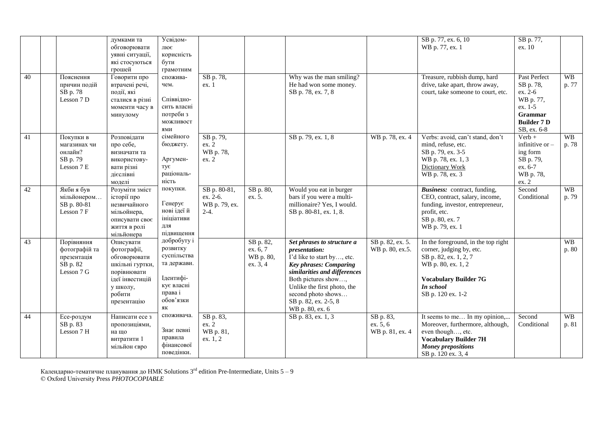| 40 | Пояснення<br>причин подій<br>SB p. 78<br>Lesson 7 D                  | думками та<br>обговорювати<br>уявні ситуації,<br>які стосуються<br>грошей<br>Говорити про<br>втрачені речі,<br>події, які<br>сталися в різні<br>моменти часу в<br>минулому | Усвідом-<br>лює<br>корисність<br>бути<br>грамотним<br>спожива-<br>чем.<br>Співвідно-<br>сить власні<br>потреби з<br>можливост<br>ями | SB p. 78,<br>ex.1                                   |                                                | Why was the man smiling?<br>He had won some money.<br>SB p. 78, ex. 7, 8                                                                                                                                                                                          |                                          | SB p. 77, ex. 6, 10<br>WB p. 77, ex. 1<br>Treasure, rubbish dump, hard<br>drive, take apart, throw away,<br>court, take someone to court, etc.                                   | SB p. 77,<br>ex. 10<br>Past Perfect<br>SB p. 78,<br>ex. 2-6<br>WB p. 77,<br>ex. 1-5<br>Grammar<br><b>Builder 7 D</b><br>SB, ex. 6-8 | <b>WB</b><br>p. 77 |
|----|----------------------------------------------------------------------|----------------------------------------------------------------------------------------------------------------------------------------------------------------------------|--------------------------------------------------------------------------------------------------------------------------------------|-----------------------------------------------------|------------------------------------------------|-------------------------------------------------------------------------------------------------------------------------------------------------------------------------------------------------------------------------------------------------------------------|------------------------------------------|----------------------------------------------------------------------------------------------------------------------------------------------------------------------------------|-------------------------------------------------------------------------------------------------------------------------------------|--------------------|
| 41 | Покупки в<br>магазинах чи<br>онлайн?<br>SB p. 79<br>Lesson 7 E       | Розповідати<br>про себе,<br>визначати та<br>використову-<br>вати різні<br>дієслівні<br>моделі                                                                              | сімейного<br>бюджету.<br>Аргумен-<br>TV€<br>раціональ-<br>ність                                                                      | SB p. 79,<br>ex. 2<br>WB p. 78,<br>ex. 2            |                                                | SB p. 79, ex. 1, 8                                                                                                                                                                                                                                                | WB p. 78, ex. 4                          | Verbs: avoid, can't stand, don't<br>mind, refuse, etc.<br>SB p. 79, ex. 3-5<br>WB p. 78, ex. 1, 3<br><b>Dictionary Work</b><br>WB p. 78, ex. 3                                   | $Verb +$<br>infinitive or $-$<br>ing form<br>SB p. 79,<br>ex. 6-7<br>WB p. 78,<br>ex. 2                                             | <b>WB</b><br>p. 78 |
| 42 | Якби я був<br>мільйонером<br>SB p. 80-81<br>Lesson 7 F               | Розуміти зміст<br>історії про<br>незвичайного<br>мільойнера,<br>описувати своє<br>життя в ролі<br>мільйонера                                                               | покупки.<br>Генерує<br>нові ідеї й<br>ініціативи<br>ДЛЯ<br>підвищення                                                                | SB p. 80-81,<br>ex. 2-6.<br>WB p. 79, ex.<br>$2-4.$ | SB p. 80,<br>ex. 5.                            | Would you eat in burger<br>bars if you were a multi-<br>millionaire? Yes, I would.<br>SB p. 80-81, ex. 1, 8.                                                                                                                                                      |                                          | Business: contract, funding,<br>CEO, contract, salary, income,<br>funding, investor, entrepreneur,<br>profit, etc.<br>SB p. 80, ex. 7<br>WB p. 79, ex. 1                         | Second<br>Conditional                                                                                                               | <b>WB</b><br>p. 79 |
| 43 | Порівняння<br>фотографій та<br>презентація<br>SB p. 82<br>Lesson 7 G | Описувати<br>фотографії,<br>обговорювати<br>шкільні гуртки,<br>порівнювати<br>ідеї інвестицій<br>у школу,<br>робити<br>презентацію                                         | добробуту і<br>розвитку<br>суспільства<br>та держави.<br>Ідентифі-<br>кує власні<br>права і<br>обов'язки<br>ЯК                       |                                                     | SB p. 82,<br>ex. 6, 7<br>WB p. 80,<br>ex. 3, 4 | Set phrases to structure a<br>presentation:<br>I'd like to start by, etc.<br><b>Key phrases: Comparing</b><br>similarities and differences<br>Both pictures show,<br>Unlike the first photo, the<br>second photo shows<br>SB p. 82, ex. 2-5, 8<br>WB p. 80, ex. 6 | SB p. 82, ex. 5.<br>WB p. 80, ex.5.      | In the foreground, in the top right<br>corner, judging by, etc.<br>SB p. 82, ex. 1, 2, 7<br>WB p. 80, ex. 1, 2<br><b>Vocabulary Builder 7G</b><br>In school<br>SB p. 120 ex. 1-2 |                                                                                                                                     | WB<br>p. 80        |
| 44 | Есе-роздум<br>SB p. 83<br>Lesson 7 H                                 | Написати есе з<br>пропозиціями,<br>на що<br>витратити 1<br>мільйон євро                                                                                                    | споживача.<br>Знає певні<br>правила<br>фінансової<br>поведінки.                                                                      | SB p. 83,<br>ex. 2<br>WB p. 81,<br>ex. 1, 2         |                                                | SB p. 83, ex. 1, 3                                                                                                                                                                                                                                                | SB p. 83,<br>ex. 5, 6<br>WB p. 81, ex. 4 | It seems to me In my opinion,<br>Moreover, furthermore, although,<br>even though, etc.<br><b>Vocabulary Builder 7H</b><br><b>Money prepositions</b><br>SB p. 120 ex. 3, 4        | Second<br>Conditional                                                                                                               | <b>WB</b><br>p. 81 |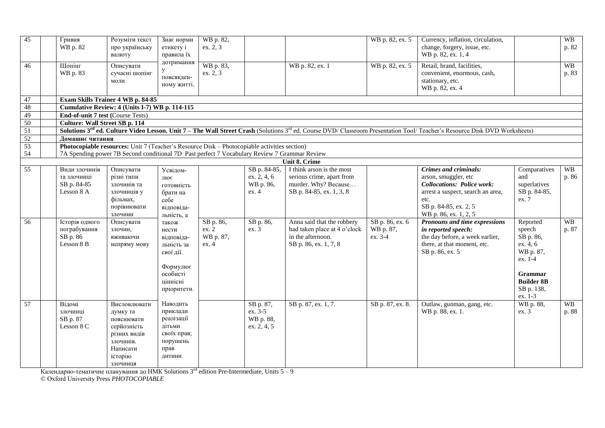| 45              | Гривня<br>WB p. 82                    | Розуміти текст<br>про українську<br>валюту                                                                                                                                                   | Знає норми<br>етикету і<br>правила їх        | WB p. 82,<br>ex. 2, 3 |                          |                                                   | WB p. 82, ex. 5  | Currency, inflation, circulation,<br>change, forgery, issue, etc.<br>WB p. 82, ex. 1, 4                                                                                                            |                       | <b>WB</b><br>p. 82 |
|-----------------|---------------------------------------|----------------------------------------------------------------------------------------------------------------------------------------------------------------------------------------------|----------------------------------------------|-----------------------|--------------------------|---------------------------------------------------|------------------|----------------------------------------------------------------------------------------------------------------------------------------------------------------------------------------------------|-----------------------|--------------------|
| 46              | Шопінг<br>WB p. 83                    | Описувати<br>сучасні шопінг<br>моли                                                                                                                                                          | дотримання<br>y<br>повсякден-<br>ному житті. | WB p. 83,<br>ex. 2, 3 |                          | WB p. 82, ex. 1                                   | WB p. 82, ex. 5  | Retail, brand, facilities,<br>convenient, enormous, cash,<br>stationary, etc.<br>WB p. 82, ex. 4                                                                                                   |                       | <b>WB</b><br>p. 83 |
| 47              |                                       | Exam Skills Trainer 4 WB p. 84-85                                                                                                                                                            |                                              |                       |                          |                                                   |                  |                                                                                                                                                                                                    |                       |                    |
| 48              |                                       | Cumulative Review: 4 (Units I-7) WB p. 114-115                                                                                                                                               |                                              |                       |                          |                                                   |                  |                                                                                                                                                                                                    |                       |                    |
| 49              | End-of-unit 7 test (Course Tests)     |                                                                                                                                                                                              |                                              |                       |                          |                                                   |                  |                                                                                                                                                                                                    |                       |                    |
| 50              | <b>Culture: Wall Street SB p. 114</b> |                                                                                                                                                                                              |                                              |                       |                          |                                                   |                  |                                                                                                                                                                                                    |                       |                    |
| $\overline{51}$ |                                       |                                                                                                                                                                                              |                                              |                       |                          |                                                   |                  | Solutions 3 <sup>rd</sup> ed. Culture Video Lesson. Unit 7 - The Wall Street Crash (Solutions 3 <sup>rd</sup> ed. Course DVD/ Classroom Presentation Tool/ Teacher's Resource Disk DVD Worksheets) |                       |                    |
| 52              | Домашнє читання                       |                                                                                                                                                                                              |                                              |                       |                          |                                                   |                  |                                                                                                                                                                                                    |                       |                    |
| 53<br>54        |                                       | Photocopiable resources: Unit 7 (Teacher's Resource Disk – Photocopiable activities section)<br>7A Spending power 7B Second conditional 7D Past perfect 7 Vocabulary Review 7 Grammar Review |                                              |                       |                          |                                                   |                  |                                                                                                                                                                                                    |                       |                    |
|                 |                                       |                                                                                                                                                                                              |                                              |                       |                          | <b>Unit 8. Crime</b>                              |                  |                                                                                                                                                                                                    |                       |                    |
| 55              | Види злочинів                         | Описувати                                                                                                                                                                                    | Усвідом-                                     |                       | SB p. 84-85,             | I think arson is the most                         |                  | Crimes and criminals:                                                                                                                                                                              | Comparatives          | <b>WB</b>          |
|                 | та злочинці<br>SB p. 84-85            | різні типи<br>злочинів та                                                                                                                                                                    | лює<br>готовність                            |                       | ex. 2, 4, 6<br>WB p. 86, | serious crime, apart from<br>murder. Why? Because |                  | arson, smuggler, etc<br><b>Collocations: Police work:</b>                                                                                                                                          | and<br>superlatives   | p. 86              |
|                 | Lesson 8 A                            | злочинців у                                                                                                                                                                                  | брати на                                     |                       | ex. 4                    | SB p. 84-85, ex. 1, 3, 8                          |                  | arrest a suspect, search an area,                                                                                                                                                                  | SB p. 84-85,          |                    |
|                 |                                       | фільмах,                                                                                                                                                                                     | себе                                         |                       |                          |                                                   |                  | etc.                                                                                                                                                                                               | ex. 7                 |                    |
|                 |                                       | порівнювати                                                                                                                                                                                  | відповіда-                                   |                       |                          |                                                   |                  | SB p. 84-85, ex. 2, 5                                                                                                                                                                              |                       |                    |
|                 |                                       | злочини                                                                                                                                                                                      | льність, а                                   |                       |                          |                                                   |                  | WB p. 86, ex. 1, 2, 5                                                                                                                                                                              |                       |                    |
| 56              | Історія одного                        | Описувати                                                                                                                                                                                    | також                                        | SB p. 86,             | SB p. 86,                | Anna said that the robbery                        | SB p. 86, ex. 6  | Pronouns and time expressions                                                                                                                                                                      | Reported              | <b>WB</b>          |
|                 | пограбування                          | злочин,                                                                                                                                                                                      | нести                                        | ex. 2                 | ex. 3                    | had taken place at 4 o'clock                      | WB p. 87,        | in reported speech:                                                                                                                                                                                | speech                | p. 87              |
|                 | SB p. 86<br>Lesson 8 B                | вживаючи                                                                                                                                                                                     | відповіда-                                   | WB p. 87,<br>ex.4     |                          | in the afternoon.                                 | ex. 3-4          | the day before, a week earlier,<br>there, at that moment, etc.                                                                                                                                     | SB p. 86,<br>ex. 4, 6 |                    |
|                 |                                       | непряму мову                                                                                                                                                                                 | льність за<br>свої дії.                      |                       |                          | SB p. 86, ex. 1, 7, 8                             |                  | SB p. 86, ex. 5                                                                                                                                                                                    | WB p. 87,             |                    |
|                 |                                       |                                                                                                                                                                                              |                                              |                       |                          |                                                   |                  |                                                                                                                                                                                                    | ex. 1-4               |                    |
|                 |                                       |                                                                                                                                                                                              | Формулює                                     |                       |                          |                                                   |                  |                                                                                                                                                                                                    |                       |                    |
|                 |                                       |                                                                                                                                                                                              | особисті                                     |                       |                          |                                                   |                  |                                                                                                                                                                                                    | <b>Grammar</b>        |                    |
|                 |                                       |                                                                                                                                                                                              | ціннісні                                     |                       |                          |                                                   |                  |                                                                                                                                                                                                    | <b>Builder 8B</b>     |                    |
|                 |                                       |                                                                                                                                                                                              | пріоритети.                                  |                       |                          |                                                   |                  |                                                                                                                                                                                                    | SB p. 138,            |                    |
|                 |                                       |                                                                                                                                                                                              |                                              |                       |                          |                                                   |                  |                                                                                                                                                                                                    | ex. 1-3               |                    |
| 57              | Відомі                                | Висловлювати                                                                                                                                                                                 | Наводить                                     |                       | SB p. 87,                | SB p. 87, ex. 1, 7.                               | SB p. 87, ex. 8. | Outlaw, gunman, gang, etc.                                                                                                                                                                         | WB p. 88,             | <b>WB</b>          |
|                 | злочинці                              | думку та                                                                                                                                                                                     | приклади<br>реалізації                       |                       | ex. 3-5                  |                                                   |                  | WB p. 88, ex. 1.                                                                                                                                                                                   | ex. 3                 | p. 88              |
|                 | SB p. 87<br>Lesson 8 C                | пояснювати<br>серйозність                                                                                                                                                                    | дітьми                                       |                       | WB p. 88,<br>ex. 2, 4, 5 |                                                   |                  |                                                                                                                                                                                                    |                       |                    |
|                 |                                       | різних видів                                                                                                                                                                                 | своїх прав;                                  |                       |                          |                                                   |                  |                                                                                                                                                                                                    |                       |                    |
|                 |                                       | злочинів.                                                                                                                                                                                    | порушень                                     |                       |                          |                                                   |                  |                                                                                                                                                                                                    |                       |                    |
|                 |                                       | Написати                                                                                                                                                                                     | прав                                         |                       |                          |                                                   |                  |                                                                                                                                                                                                    |                       |                    |
|                 |                                       | історію                                                                                                                                                                                      | дитини.                                      |                       |                          |                                                   |                  |                                                                                                                                                                                                    |                       |                    |
|                 |                                       | злочинця                                                                                                                                                                                     |                                              |                       |                          |                                                   |                  |                                                                                                                                                                                                    |                       |                    |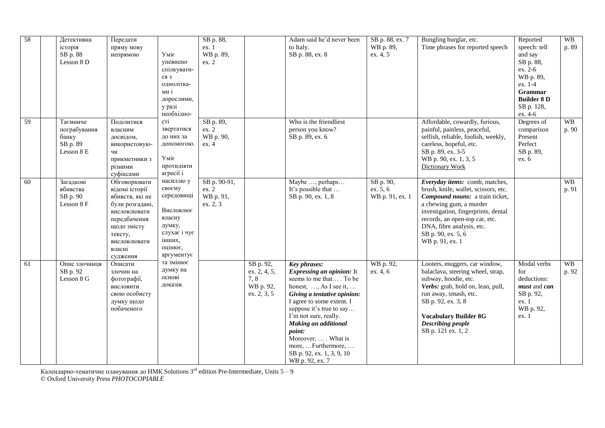| 58 | Детективна<br>історія<br>SB p. 88<br>Lesson 8 D             | Передати<br>пряму мову<br>непрямою                                                                                                                                   | Уміє<br>упевнено<br>спілкувати-<br>ся з<br>однолітка-<br>ми і<br>дорослими,<br>у разі<br>необхідно-                   | SB p. 88,<br>ex. 1<br>WB p. 89,<br>ex. 2       |                                                               | Adam said he'd never been<br>to Italy.<br>SB p. 88, ex. 8                                                                                                                                                                                                                                                                                                       | SB p. 88, ex. 7<br>WB p. 89,<br>ex. 4, 5 | Bungling burglar, etc.<br>Time phrases for reported speech                                                                                                                                                                                                                          | Reported<br>speech: tell<br>and say<br>SB p. 88,<br>ex. 2-6<br>WB p. 89,<br>ex. 1-4<br>Grammar<br><b>Builder 8 D</b><br>SB p. 128,<br>ex. 4-6 | WB<br>p. 89        |
|----|-------------------------------------------------------------|----------------------------------------------------------------------------------------------------------------------------------------------------------------------|-----------------------------------------------------------------------------------------------------------------------|------------------------------------------------|---------------------------------------------------------------|-----------------------------------------------------------------------------------------------------------------------------------------------------------------------------------------------------------------------------------------------------------------------------------------------------------------------------------------------------------------|------------------------------------------|-------------------------------------------------------------------------------------------------------------------------------------------------------------------------------------------------------------------------------------------------------------------------------------|-----------------------------------------------------------------------------------------------------------------------------------------------|--------------------|
| 59 | Таємниче<br>пограбування<br>банку<br>SB p. 89<br>Lesson 8 E | Поділитися<br>власним<br>досвідом,<br>використовую-<br>ЧИ<br>прикметники з<br>різними<br>суфіксами                                                                   | cri<br>звертатися<br>до них за<br>допомогою.<br>Уміє<br>протидіяти<br>агресії і                                       | SB p. 89,<br>ex. 2<br>WB p. 90,<br>ex.4        |                                                               | Who is the friendliest<br>person you know?<br>SB p. 89, ex. 6                                                                                                                                                                                                                                                                                                   |                                          | Affordable, cowardly, furious,<br>painful, painless, peaceful,<br>selfish, reliable, foolish, weekly,<br>careless, hopeful, etc.<br>SB p. 89, ex. 3-5<br>WB p. 90, ex. 1, 3, 5<br>Dictionary Work                                                                                   | Degrees of<br>comparison<br>Present<br>Perfect<br>SB p. 89,<br>ex. 6                                                                          | <b>WB</b><br>p. 90 |
| 60 | Загадкові<br>вбивства<br>SB p. 90<br>Lesson 8 F             | Обговорювати<br>відомі історії<br>вбивств, які не<br>були розгадані,<br>висловлювати<br>передбачення<br>щодо змісту<br>тексту,<br>висловлювати<br>власні<br>судження | насиллю у<br>своєму<br>середовищі<br>Висловлює<br>власну<br>думку,<br>слухає і чує<br>інших,<br>оцінює,<br>аргументує | SB p. 90-91,<br>ex. 2<br>WB p. 91,<br>ex. 2, 3 |                                                               | Maybe , perhaps<br>It's possible that<br>SB p. 90, ex. 1, 8                                                                                                                                                                                                                                                                                                     | SB p. 90,<br>ex. 5, 6<br>WB p. 91, ex. 1 | Everyday items: comb, matches,<br>brush, knife, wallet, scissors, etc.<br>Compound nouns: a train ticket,<br>a chewing gum, a murder<br>investigation, fingerprints, dental<br>records, an open-top car, etc.<br>DNA, fibre analysis, etc.<br>SB p. 90, ex. 5, 6<br>WB p. 91, ex. 1 |                                                                                                                                               | <b>WB</b><br>p. 91 |
| 61 | Опис злочинця<br>SB p. 92<br>Lesson 8 G                     | Описати<br>злочин на<br>фотографії,<br>висловити<br>свою особисту<br>думку щодо<br>побаченого                                                                        | та змінює<br>думку на<br>основі<br>доказів.                                                                           |                                                | SB p. 92,<br>ex. 2, 4, 5,<br>7, 8<br>WB p. 92,<br>ex. 2, 3, 5 | <b>Key phrases:</b><br><b>Expressing an opinion:</b> It<br>seems to me that . To be<br>honest, , As I see it,<br>Giving a tentative opinion:<br>I agree to some extent. I<br>suppose it's true to say<br>I'm not sure, really.<br>Making an additional<br>point:<br>Moreover,  . What is<br>more,  Furthermore,<br>SB p. 92, ex. 1, 3, 9, 10<br>WB p. 92, ex. 7 | WB p. 92,<br>ex. 4, 6                    | Looters, muggers, car window,<br>balaclava, steering wheel, strap,<br>subway, hoodie, etc.<br>Verbs: grab, hold on, lean, pull,<br>run away, smash, etc.<br>SB p. 92, ex. 3, 8<br><b>Vocabulary Builder 8G</b><br>Describing people<br>SB p. 121 ex. 1, 2                           | Modal verbs<br>for<br>deductions:<br>must and can<br>SB p. 92,<br>ex. 1<br>WB p. 92,<br>ex. 1                                                 | <b>WB</b><br>p. 92 |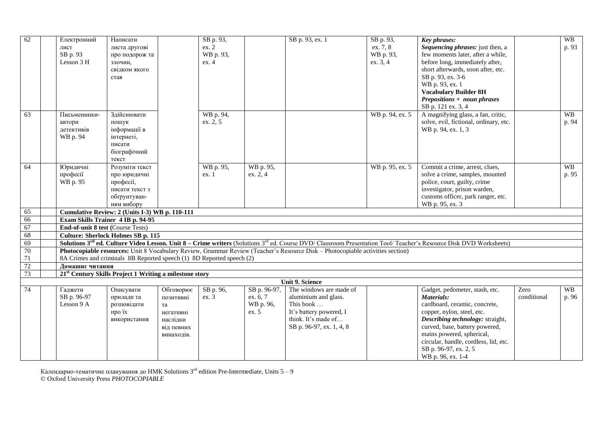| 62     | Електронний<br>лист<br>SB p. 93<br>Lesson 3 H | Написати<br>листа другові<br>про подорож та<br>злочин.<br>свідком якого<br>став             |                                                                                   | SB p. 93,<br>ex. 2<br>WB p. 93,<br>ex.4 |                                                | SB p. 93, ex. 1                                                                                                                            | SB p. 93,<br>ex. 7, 8<br>WB p. 93,<br>ex. 3, 4 | <b>Key phrases:</b><br>Sequencing phrases: just then, a<br>few moments later, after a while,<br>before long, immediately after,<br>short afterwards, soon after, etc.<br>SB p. 93, ex. 3-6<br>WB p. 93, ex. 1<br><b>Vocabulary Builder 8H</b>                                                         |                     | <b>WB</b><br>p. 93 |
|--------|-----------------------------------------------|---------------------------------------------------------------------------------------------|-----------------------------------------------------------------------------------|-----------------------------------------|------------------------------------------------|--------------------------------------------------------------------------------------------------------------------------------------------|------------------------------------------------|-------------------------------------------------------------------------------------------------------------------------------------------------------------------------------------------------------------------------------------------------------------------------------------------------------|---------------------|--------------------|
| 63     | Письменники-                                  | Здійснювати                                                                                 |                                                                                   | WB p. 94,                               |                                                |                                                                                                                                            | WB p. 94, ex. 5                                | <b>Prepositions + noun phrases</b><br>SB p. 121 ex. 3, 4<br>A magnifying glass, a fan, critic,                                                                                                                                                                                                        |                     | <b>WB</b>          |
|        | автори<br>летективів<br>WB p. 94              | пошук<br>інформації в<br>інтернеті,<br>писати<br>біографічний<br>текст                      |                                                                                   | ex. 2, 5                                |                                                |                                                                                                                                            |                                                | solve, evil, fictional, ordinary, etc.<br>WB p. 94, ex. 1, 3                                                                                                                                                                                                                                          |                     | p. 94              |
| 64     | Юридичні<br>професії<br>WB p. 95              | Розуміти текст<br>про юридичні<br>професії,<br>писати текст з<br>обгрунтуван-<br>ням вибору |                                                                                   | WB p. 95,<br>ex. 1                      | WB p. 95,<br>ex. 2, 4                          |                                                                                                                                            | WB p. 95, ex. 5                                | Commit a crime, arrest, clues,<br>solve a crime, samples, mounted<br>police, court, guilty, crime<br>investigator, prison warden,<br>customs officer, park ranger, etc.<br>WB p. 95, ex. 3                                                                                                            |                     | <b>WB</b><br>p. 95 |
| 65     |                                               | Cumulative Review: 2 (Units I-3) WB p. 110-111                                              |                                                                                   |                                         |                                                |                                                                                                                                            |                                                |                                                                                                                                                                                                                                                                                                       |                     |                    |
| 66     |                                               | Exam Skills Trainer 4 IB p. 94-95                                                           |                                                                                   |                                         |                                                |                                                                                                                                            |                                                |                                                                                                                                                                                                                                                                                                       |                     |                    |
| 67     | End-of-unit 8 test (Course Tests)             |                                                                                             |                                                                                   |                                         |                                                |                                                                                                                                            |                                                |                                                                                                                                                                                                                                                                                                       |                     |                    |
| 68     |                                               | <b>Culture: Sherlock Holmes SB p. 115</b>                                                   |                                                                                   |                                         |                                                |                                                                                                                                            |                                                |                                                                                                                                                                                                                                                                                                       |                     |                    |
| 69     |                                               |                                                                                             |                                                                                   |                                         |                                                |                                                                                                                                            |                                                | Solutions 3 <sup>rd</sup> ed. Culture Video Lesson. Unit 8 – Crime writers (Solutions 3 <sup>rd</sup> ed. Course DVD/ Classroom Presentation Tool/ Teacher's Resource Disk DVD Worksheets)                                                                                                            |                     |                    |
| 70     |                                               |                                                                                             |                                                                                   |                                         |                                                | Photocopiable resources: Unit 8 Vocabulary Review, Grammar Review (Teacher's Resource Disk - Photocopiable activities section)             |                                                |                                                                                                                                                                                                                                                                                                       |                     |                    |
| $71\,$ |                                               | 8A Crimes and criminals 8B Reported speech (1) 8D Reported speech (2)                       |                                                                                   |                                         |                                                |                                                                                                                                            |                                                |                                                                                                                                                                                                                                                                                                       |                     |                    |
| 72     | Ломашнє читання                               |                                                                                             |                                                                                   |                                         |                                                |                                                                                                                                            |                                                |                                                                                                                                                                                                                                                                                                       |                     |                    |
| 73     |                                               | 21 <sup>st</sup> Century Skills Project 1 Writing a milestone story                         |                                                                                   |                                         |                                                |                                                                                                                                            |                                                |                                                                                                                                                                                                                                                                                                       |                     |                    |
|        |                                               |                                                                                             |                                                                                   |                                         |                                                | <b>Unit 9. Science</b>                                                                                                                     |                                                |                                                                                                                                                                                                                                                                                                       |                     |                    |
| 74     | Галжети<br>SB p. 96-97<br>Lesson 9 A          | Описувати<br>прилади та<br>розповідати<br>про їх<br>використання                            | Обговорює<br>позитивні<br>та<br>негативні<br>наслідки<br>від певних<br>винаходів. | SB p. 96,<br>$ex.\overline{3}$          | SB p. 96-97,<br>ex. 6, 7<br>WB p. 96,<br>ex. 5 | The windows are made of<br>aluminium and glass.<br>This book<br>It's battery powered, I<br>think. It's made of<br>SB p. 96-97, ex. 1, 4, 8 |                                                | Gadget, pedometer, stash, etc.<br>Materials:<br>cardboard, ceramic, concrete,<br>copper, nylon, steel, etc.<br>Describing technology: straight,<br>curved, base, battery powered,<br>mains powered, spherical,<br>circular, handle, cordless, lid, etc.<br>SB p. 96-97, ex. 2, 5<br>WB p. 96, ex. 1-4 | Zero<br>conditional | <b>WB</b><br>p. 96 |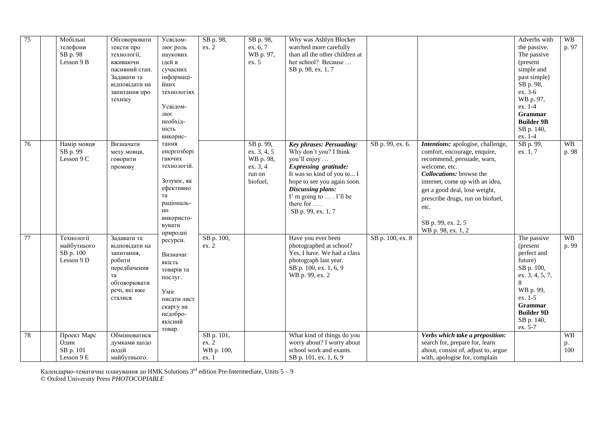| $\overline{75}$ | Мобільні    | Обговорювати   | Усвідом-    | SB p. 98,  | SB p. 98,   | Why was Ashlyn Blocker          |                  |                                     | Adverbs with      | WB        |
|-----------------|-------------|----------------|-------------|------------|-------------|---------------------------------|------------------|-------------------------------------|-------------------|-----------|
|                 | телефони    | тексти про     | лює роль    | ex. 2      | ex. 6, 7    | watched more carefully          |                  |                                     | the passive.      | p. 97     |
|                 | SB p. 98    | технології,    | наукових    |            | WB p. 97,   | than all the other children at  |                  |                                     | The passive       |           |
|                 | Lesson 9 B  | вживаючи       | ідей в      |            | ex. 5       | her school? Because             |                  |                                     | (present          |           |
|                 |             | пасивний стан. | сучасних    |            |             | SB p. 98, ex. 1, 7              |                  |                                     | simple and        |           |
|                 |             | Задавати та    | інформаці-  |            |             |                                 |                  |                                     | past simple)      |           |
|                 |             | відповідати на | йних        |            |             |                                 |                  |                                     | SB p. 98,         |           |
|                 |             | запитання про  | технологіях |            |             |                                 |                  |                                     | ex. 3-6           |           |
|                 |             | техніку        |             |            |             |                                 |                  |                                     | WB p. 97,         |           |
|                 |             |                | Усвідом-    |            |             |                                 |                  |                                     | ex. 1-4           |           |
|                 |             |                | лює         |            |             |                                 |                  |                                     | Grammar           |           |
|                 |             |                | необхід-    |            |             |                                 |                  |                                     | <b>Builder 9B</b> |           |
|                 |             |                | ність       |            |             |                                 |                  |                                     | SB p. 140,        |           |
|                 |             |                | викорис-    |            |             |                                 |                  |                                     | ex. 1-4           |           |
| 76              | Намір мовця | Визначати      | тання       |            | SB p. 99,   | <b>Key phrases: Persuading:</b> | SB p. 99, ex. 6. | Intentions: apologise, challenge,   | SB p. 99,         | <b>WB</b> |
|                 | SB p. 99    | мету мовця,    | енергозбері |            | ex. 3, 4, 5 | Why don't you? I think          |                  | comfort, encourage, enquire,        | ex. 1, 7          | p. 98     |
|                 | Lesson 9 C  | говорити       | гаючих      |            | WB p. 98,   | you'll enjoy                    |                  | recommend, persuade, warn,          |                   |           |
|                 |             | промову        | технологій. |            | ex. 3, 4    | <b>Expressing gratitude:</b>    |                  | welcome, etc.                       |                   |           |
|                 |             |                |             |            | run on      | It was so kind of you to I      |                  | Collocations: browse the            |                   |           |
|                 |             |                | Зозуміє, як |            | biofuel,    | hope to see you again soon.     |                  | internet, come up with an idea,     |                   |           |
|                 |             |                | ефективно   |            |             | Discussing plans:               |                  | get a good deal, lose weight,       |                   |           |
|                 |             |                | та          |            |             | I'm going to  . I'll be         |                  | prescribe drugs, run on biofuel,    |                   |           |
|                 |             |                | раціональ-  |            |             | there for                       |                  |                                     |                   |           |
|                 |             |                | HO          |            |             | SB p. 99, ex. 1, 7              |                  | etc.                                |                   |           |
|                 |             |                | використо-  |            |             |                                 |                  |                                     |                   |           |
|                 |             |                | вувати      |            |             |                                 |                  | SB p. 99, ex. 2, 5                  |                   |           |
|                 |             |                | природні    |            |             |                                 |                  | WB p. 98, ex. 1, 2                  |                   |           |
| $\overline{77}$ | Технології  | Залавати та    | ресурси.    | SB p. 100, |             | Have you ever been              | SB p. 100, ex. 8 |                                     | The passive       | <b>WB</b> |
|                 | майбутнього | відповідати на |             | ex. 2      |             | photographed at school?         |                  |                                     | (present)         | p. 99     |
|                 | SB p. 100   | запитання,     | Визначає    |            |             | Yes, I have. We had a class     |                  |                                     | perfect and       |           |
|                 | Lesson 9 D  | робити         | якість      |            |             | photograph last year.           |                  |                                     | future)           |           |
|                 |             | передбачення   | товарів та  |            |             | SB p. 100, ex. 1, 6, 9          |                  |                                     | SB p. 100,        |           |
|                 |             | та             | послуг.     |            |             | WB p. 99, ex. 2                 |                  |                                     | ex. 3, 4, 5, 7,   |           |
|                 |             | обговорювати   |             |            |             |                                 |                  |                                     | 8                 |           |
|                 |             | речі, які вже  | Уміє        |            |             |                                 |                  |                                     | WB p. 99,         |           |
|                 |             | сталися        | писати лист |            |             |                                 |                  |                                     | ex. 1-5           |           |
|                 |             |                | скаргу на   |            |             |                                 |                  |                                     | <b>Grammar</b>    |           |
|                 |             |                | недобро-    |            |             |                                 |                  |                                     | <b>Builder 9D</b> |           |
|                 |             |                | якісний     |            |             |                                 |                  |                                     | SB p. 140,        |           |
|                 |             |                |             |            |             |                                 |                  |                                     | ex. 5-7           |           |
| 78              | Проект Марс | Обмінюватися   | товар.      | SB p. 101, |             | What kind of things do you      |                  | Verbs which take a preposition:     |                   | <b>WB</b> |
|                 | Один        | думками щодо   |             | ex. 2      |             | worry about? I worry about      |                  | search for, prepare for, learn      |                   | p.        |
|                 | SB p. 101   | подій          |             | WB p. 100, |             | school work and exams.          |                  | about, consist of, adjust to, argue |                   | 100       |
|                 | Lesson 9 E  | майбутнього.   |             | ex. 1      |             | SB p. 101, ex. 1, 6, 9          |                  | with, apologise for, complain       |                   |           |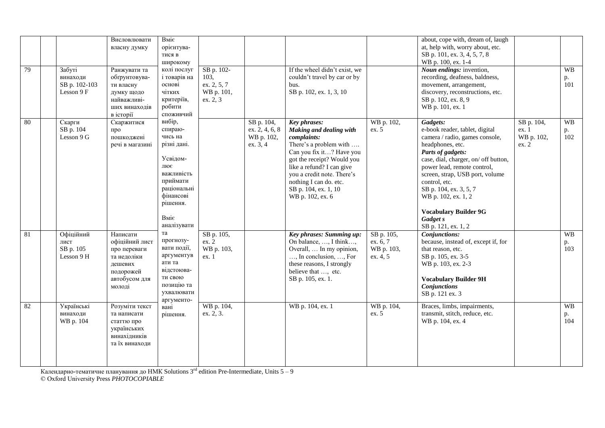| 79 | Забуті<br>винаходи<br>SB p. 102-103<br>Lesson 9 F | Висловлювати<br>власну думку<br>Ранжувати та<br>обгрунтовува-<br>ти власну<br>думку щодо<br>найважливі-<br>ших винаходів<br>в історії | Вміє<br>орієнтува-<br>тися в<br>широкому<br>колі послуг<br>і товарів на<br>основі<br>чітких<br>критеріїв,<br>робити<br>споживчий                        | SB p. 102-<br>103,<br>ex. 2, 5, 7<br>WB p. 101,<br>ex. 2, 3 |                                                        | If the wheel didn't exist, we<br>couldn't travel by car or by<br>bus.<br>SB p. 102, ex. 1, 3, 10                                                                                                                                                                                   |                                                  | about, cope with, dream of, laugh<br>at, help with, worry about, etc.<br>SB p. 101, ex. 3, 4, 5, 7, 8<br>WB p. 100, ex. 1-4<br>Noun endings: invention,<br>recording, deafness, baldness,<br>movement, arrangement,<br>discovery, reconstructions, etc.<br>SB p. 102, ex. 8, 9<br>WB p. 101, ex. 1                                                                   |                                            | <b>WB</b><br>p.<br>101 |
|----|---------------------------------------------------|---------------------------------------------------------------------------------------------------------------------------------------|---------------------------------------------------------------------------------------------------------------------------------------------------------|-------------------------------------------------------------|--------------------------------------------------------|------------------------------------------------------------------------------------------------------------------------------------------------------------------------------------------------------------------------------------------------------------------------------------|--------------------------------------------------|----------------------------------------------------------------------------------------------------------------------------------------------------------------------------------------------------------------------------------------------------------------------------------------------------------------------------------------------------------------------|--------------------------------------------|------------------------|
| 80 | Скарги<br>SB p. 104<br>Lesson 9 G                 | Скаржитися<br>про<br>пошкоджені<br>речі в магазині                                                                                    | вибір,<br>спираю-<br>чись на<br>різні дані.<br>Усвідом-<br>лює<br>важливість<br>приймати<br>раціональні<br>фінансові<br>рішення.<br>Вміє<br>аналізувати |                                                             | SB p. 104,<br>ex. 2, 4, 6, 8<br>WB p. 102,<br>ex. 3, 4 | <b>Key phrases:</b><br>Making and dealing with<br>complaints:<br>There's a problem with<br>Can you fix it? Have you<br>got the receipt? Would you<br>like a refund? I can give<br>you a credit note. There's<br>nothing I can do. etc.<br>SB p. 104, ex. 1, 10<br>WB p. 102, ex. 6 | WB p. 102,<br>ex. 5                              | Gadgets:<br>e-book reader, tablet, digital<br>camera / radio, games console,<br>headphones, etc.<br>Parts of gadgets:<br>case, dial, charger, on/ off button,<br>power lead, remote control,<br>screen, strap, USB port, volume<br>control, etc.<br>SB p. 104, ex. 3, 5, 7<br>WB p. 102, ex. 1, 2<br><b>Vocabulary Builder 9G</b><br>Gadget s<br>SB p. 121, ex. 1, 2 | SB p. 104,<br>ex. 1<br>WB p. 102,<br>ex. 2 | <b>WB</b><br>p.<br>102 |
| 81 | Офіційний<br>лист<br>SB p. 105<br>Lesson 9 H      | Написати<br>офіційний лист<br>про переваги<br>та недоліки<br>дешевих<br>подорожей<br>автобусом для<br>молоді                          | та<br>прогнозу-<br>вати події,<br>аргументув<br>ати та<br>вілстоюва-<br>ти свою<br>позицію та<br>ухвалювати<br>аргументо-                               | SB p. 105,<br>ex. 2<br>WB p. 103,<br>ex. 1                  |                                                        | Key phrases: Summing up:<br>On balance, , I think,<br>Overall,  In my opinion,<br>, In conclusion, , For<br>these reasons, I strongly<br>believe that , etc.<br>SB p. 105, ex. 1.                                                                                                  | SB p. 105,<br>ex. 6, 7<br>WB p. 103,<br>ex. 4, 5 | Conjunctions:<br>because, instead of, except if, for<br>that reason, etc.<br>SB p. 105, ex. 3-5<br>WB p. 103, ex. 2-3<br><b>Vocabulary Builder 9H</b><br><b>Conjunctions</b><br>SB p. 121 ex. 3                                                                                                                                                                      |                                            | <b>WB</b><br>p.<br>103 |
| 82 | Українські<br>винаходи<br>WB p. 104               | Розуміти текст<br>та написати<br>статтю про<br>українських<br>винахідників<br>та їх винаходи                                          | вані<br>рішення.                                                                                                                                        | WB p. 104,<br>ex. 2, 3.                                     |                                                        | WB p. 104, ex. 1                                                                                                                                                                                                                                                                   | WB p. 104,<br>ex. 5                              | Braces, limbs, impairments,<br>transmit, stitch, reduce, etc.<br>WB p. 104, ex. 4                                                                                                                                                                                                                                                                                    |                                            | <b>WB</b><br>p.<br>104 |